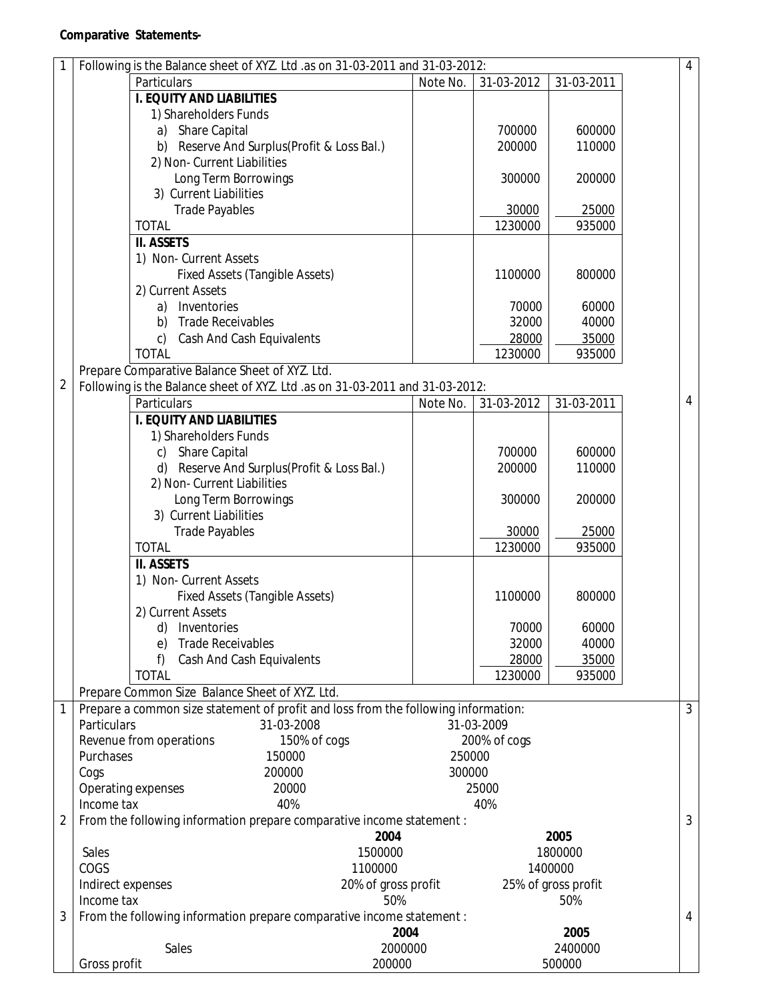| 1                 | Following is the Balance sheet of XYZ. Ltd .as on 31-03-2011 and 31-03-2012:<br>$\overline{4}$ |                                                                                    |          |              |                            |                |  |  |  |  |
|-------------------|------------------------------------------------------------------------------------------------|------------------------------------------------------------------------------------|----------|--------------|----------------------------|----------------|--|--|--|--|
|                   |                                                                                                | Particulars                                                                        | Note No. | 31-03-2012   | 31-03-2011                 |                |  |  |  |  |
|                   |                                                                                                | <b>I. EQUITY AND LIABILITIES</b>                                                   |          |              |                            |                |  |  |  |  |
|                   |                                                                                                | 1) Shareholders Funds                                                              |          |              |                            |                |  |  |  |  |
|                   |                                                                                                | Share Capital<br>a)                                                                |          | 700000       | 600000                     |                |  |  |  |  |
|                   |                                                                                                | b) Reserve And Surplus(Profit & Loss Bal.)                                         |          | 200000       | 110000                     |                |  |  |  |  |
|                   |                                                                                                | 2) Non- Current Liabilities                                                        |          |              |                            |                |  |  |  |  |
|                   |                                                                                                | Long Term Borrowings                                                               |          | 300000       | 200000                     |                |  |  |  |  |
|                   |                                                                                                | 3) Current Liabilities                                                             |          |              |                            |                |  |  |  |  |
|                   |                                                                                                | <b>Trade Payables</b>                                                              |          | 30000        | 25000                      |                |  |  |  |  |
|                   |                                                                                                | <b>TOTAL</b>                                                                       |          | 1230000      | 935000                     |                |  |  |  |  |
|                   |                                                                                                | <b>II. ASSETS</b>                                                                  |          |              |                            |                |  |  |  |  |
|                   |                                                                                                | 1) Non- Current Assets                                                             |          |              |                            |                |  |  |  |  |
|                   | <b>Fixed Assets (Tangible Assets)</b>                                                          |                                                                                    |          | 1100000      | 800000                     |                |  |  |  |  |
|                   |                                                                                                | 2) Current Assets                                                                  |          |              |                            |                |  |  |  |  |
|                   |                                                                                                | Inventories<br>a)                                                                  |          | 70000        | 60000                      |                |  |  |  |  |
|                   |                                                                                                | <b>Trade Receivables</b><br>b)                                                     |          | 32000        | 40000                      |                |  |  |  |  |
|                   |                                                                                                | <b>Cash And Cash Equivalents</b><br>$\mathsf{C}$                                   |          | 28000        | 35000                      |                |  |  |  |  |
|                   |                                                                                                | <b>TOTAL</b>                                                                       |          | 1230000      | 935000                     |                |  |  |  |  |
|                   |                                                                                                | Prepare Comparative Balance Sheet of XYZ. Ltd.                                     |          |              |                            |                |  |  |  |  |
| $\overline{2}$    |                                                                                                | Following is the Balance sheet of XYZ. Ltd .as on 31-03-2011 and 31-03-2012:       |          |              |                            |                |  |  |  |  |
|                   |                                                                                                | Particulars                                                                        | Note No. | 31-03-2012   | 31-03-2011                 | $\overline{4}$ |  |  |  |  |
|                   |                                                                                                | <b>I. EQUITY AND LIABILITIES</b>                                                   |          |              |                            |                |  |  |  |  |
|                   |                                                                                                | 1) Shareholders Funds                                                              |          |              |                            |                |  |  |  |  |
|                   |                                                                                                | Share Capital<br>C)                                                                |          | 700000       | 600000                     |                |  |  |  |  |
|                   |                                                                                                | Reserve And Surplus(Profit & Loss Bal.)                                            |          | 200000       | 110000                     |                |  |  |  |  |
|                   |                                                                                                | 2) Non- Current Liabilities                                                        |          |              |                            |                |  |  |  |  |
|                   |                                                                                                | Long Term Borrowings                                                               |          | 300000       | 200000                     |                |  |  |  |  |
|                   |                                                                                                | 3) Current Liabilities                                                             |          |              |                            |                |  |  |  |  |
|                   |                                                                                                | <b>Trade Payables</b>                                                              |          | 30000        | 25000                      |                |  |  |  |  |
|                   |                                                                                                | <b>TOTAL</b>                                                                       |          | 1230000      | 935000                     |                |  |  |  |  |
|                   |                                                                                                | <b>II. ASSETS</b>                                                                  |          |              |                            |                |  |  |  |  |
|                   |                                                                                                | 1) Non- Current Assets                                                             |          |              |                            |                |  |  |  |  |
|                   |                                                                                                | <b>Fixed Assets (Tangible Assets)</b>                                              |          | 1100000      | 800000                     |                |  |  |  |  |
|                   |                                                                                                | 2) Current Assets                                                                  |          |              |                            |                |  |  |  |  |
|                   |                                                                                                | Inventories<br>d)                                                                  |          | 70000        | 60000                      |                |  |  |  |  |
|                   |                                                                                                | <b>Trade Receivables</b><br>e)                                                     |          | 32000        | 40000                      |                |  |  |  |  |
|                   |                                                                                                | f)<br>Cash And Cash Equivalents                                                    |          | 28000        | 35000                      |                |  |  |  |  |
|                   |                                                                                                | <b>TOTAL</b>                                                                       |          | 1230000      | 935000                     |                |  |  |  |  |
|                   |                                                                                                | Prepare Common Size Balance Sheet of XYZ. Ltd.                                     |          |              |                            |                |  |  |  |  |
| 1                 |                                                                                                | Prepare a common size statement of profit and loss from the following information: |          |              |                            | $\mathfrak{Z}$ |  |  |  |  |
|                   | Particulars                                                                                    | 31-03-2008                                                                         |          | 31-03-2009   |                            |                |  |  |  |  |
|                   |                                                                                                | Revenue from operations<br>150% of cogs                                            |          | 200% of cogs |                            |                |  |  |  |  |
|                   | Purchases<br>150000                                                                            |                                                                                    | 250000   |              |                            |                |  |  |  |  |
|                   | 200000<br>Cogs                                                                                 |                                                                                    |          | 300000       |                            |                |  |  |  |  |
|                   |                                                                                                | Operating expenses<br>20000                                                        |          | 25000        |                            |                |  |  |  |  |
|                   | Income tax                                                                                     | 40%                                                                                |          | 40%          |                            |                |  |  |  |  |
| 2                 |                                                                                                | From the following information prepare comparative income statement :              |          |              | 2005                       | $\mathfrak{Z}$ |  |  |  |  |
|                   |                                                                                                | 2004                                                                               |          |              |                            |                |  |  |  |  |
|                   |                                                                                                | 1500000<br>Sales                                                                   |          |              | 1800000                    |                |  |  |  |  |
|                   |                                                                                                | COGS<br>1100000                                                                    |          |              | 1400000                    |                |  |  |  |  |
|                   | Indirect expenses                                                                              | 20% of gross profit                                                                |          |              | 25% of gross profit<br>50% |                |  |  |  |  |
| Income tax<br>50% |                                                                                                |                                                                                    |          |              |                            | $\overline{4}$ |  |  |  |  |
|                   | 3<br>From the following information prepare comparative income statement :                     |                                                                                    |          |              |                            |                |  |  |  |  |
|                   | 2004                                                                                           |                                                                                    |          |              | 2005                       |                |  |  |  |  |
|                   |                                                                                                | <b>Sales</b><br>2000000                                                            |          |              | 2400000                    |                |  |  |  |  |
|                   | Gross profit                                                                                   | 200000                                                                             |          |              | 500000                     |                |  |  |  |  |